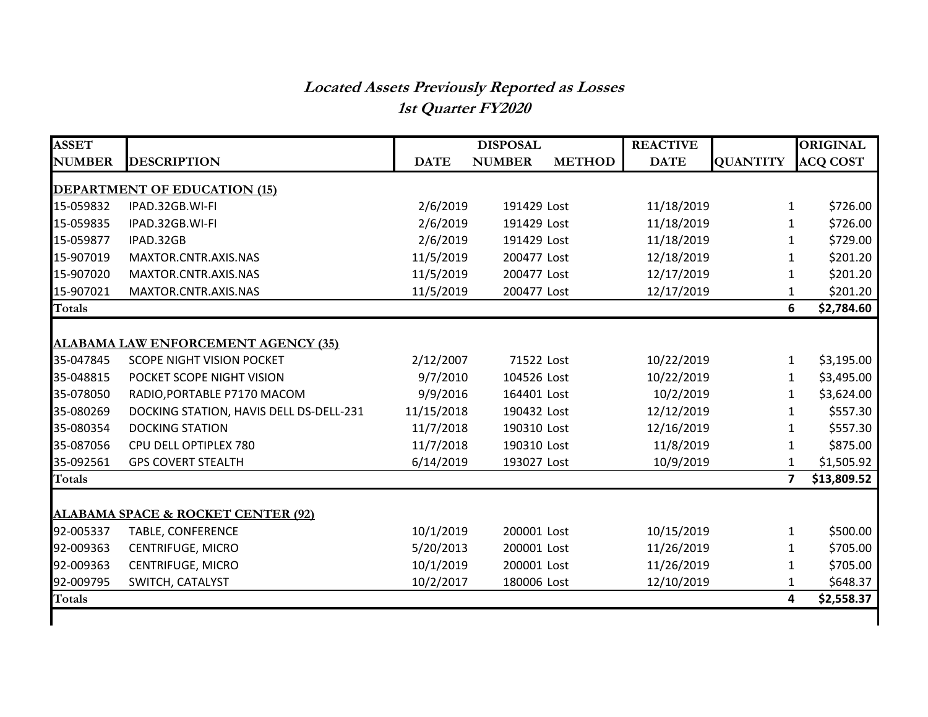## **Located Assets Previously Reported as Losses 1st Quarter FY2020**

| <b>ASSET</b>                                  |                                         | <b>DISPOSAL</b> |               | <b>REACTIVE</b> |             | <b>ORIGINAL</b> |                 |  |  |
|-----------------------------------------------|-----------------------------------------|-----------------|---------------|-----------------|-------------|-----------------|-----------------|--|--|
| <b>NUMBER</b>                                 | <b>DESCRIPTION</b>                      | <b>DATE</b>     | <b>NUMBER</b> | <b>METHOD</b>   | <b>DATE</b> | <b>QUANTITY</b> | <b>ACQ COST</b> |  |  |
| <b>DEPARTMENT OF EDUCATION (15)</b>           |                                         |                 |               |                 |             |                 |                 |  |  |
| 15-059832                                     | IPAD.32GB.WI-FI                         | 2/6/2019        | 191429 Lost   |                 | 11/18/2019  | 1               | \$726.00        |  |  |
| 15-059835                                     | IPAD.32GB.WI-FI                         | 2/6/2019        | 191429 Lost   |                 | 11/18/2019  | 1               | \$726.00        |  |  |
| 15-059877                                     | IPAD.32GB                               | 2/6/2019        | 191429 Lost   |                 | 11/18/2019  | 1               | \$729.00        |  |  |
| 15-907019                                     | MAXTOR.CNTR.AXIS.NAS                    | 11/5/2019       | 200477 Lost   |                 | 12/18/2019  | 1               | \$201.20        |  |  |
| 15-907020                                     | MAXTOR.CNTR.AXIS.NAS                    | 11/5/2019       | 200477 Lost   |                 | 12/17/2019  | 1               | \$201.20        |  |  |
| 15-907021                                     | MAXTOR.CNTR.AXIS.NAS                    | 11/5/2019       | 200477 Lost   |                 | 12/17/2019  | 1               | \$201.20        |  |  |
| <b>Totals</b>                                 |                                         |                 |               |                 |             | 6               | \$2,784.60      |  |  |
|                                               |                                         |                 |               |                 |             |                 |                 |  |  |
| ALABAMA LAW ENFORCEMENT AGENCY (35)           |                                         |                 |               |                 |             |                 |                 |  |  |
| 35-047845                                     | <b>SCOPE NIGHT VISION POCKET</b>        | 2/12/2007       | 71522 Lost    |                 | 10/22/2019  | 1               | \$3,195.00      |  |  |
| 35-048815                                     | POCKET SCOPE NIGHT VISION               | 9/7/2010        | 104526 Lost   |                 | 10/22/2019  | 1               | \$3,495.00      |  |  |
| 35-078050                                     | RADIO, PORTABLE P7170 MACOM             | 9/9/2016        | 164401 Lost   |                 | 10/2/2019   | 1               | \$3,624.00      |  |  |
| 35-080269                                     | DOCKING STATION, HAVIS DELL DS-DELL-231 | 11/15/2018      | 190432 Lost   |                 | 12/12/2019  | 1               | \$557.30        |  |  |
| 35-080354                                     | <b>DOCKING STATION</b>                  | 11/7/2018       | 190310 Lost   |                 | 12/16/2019  | 1               | \$557.30        |  |  |
| 35-087056                                     | CPU DELL OPTIPLEX 780                   | 11/7/2018       | 190310 Lost   |                 | 11/8/2019   | 1               | \$875.00        |  |  |
| 35-092561                                     | <b>GPS COVERT STEALTH</b>               | 6/14/2019       | 193027 Lost   |                 | 10/9/2019   | 1               | \$1,505.92      |  |  |
| <b>Totals</b>                                 |                                         |                 |               |                 |             | $\overline{7}$  | \$13,809.52     |  |  |
|                                               |                                         |                 |               |                 |             |                 |                 |  |  |
| <b>ALABAMA SPACE &amp; ROCKET CENTER (92)</b> |                                         |                 |               |                 |             |                 |                 |  |  |
| 92-005337                                     | <b>TABLE, CONFERENCE</b>                | 10/1/2019       | 200001 Lost   |                 | 10/15/2019  | 1               | \$500.00        |  |  |
| 92-009363                                     | <b>CENTRIFUGE, MICRO</b>                | 5/20/2013       | 200001 Lost   |                 | 11/26/2019  | 1               | \$705.00        |  |  |
| 92-009363                                     | <b>CENTRIFUGE, MICRO</b>                | 10/1/2019       | 200001 Lost   |                 | 11/26/2019  | 1               | \$705.00        |  |  |
| 92-009795                                     | SWITCH, CATALYST                        | 10/2/2017       | 180006 Lost   |                 | 12/10/2019  | $\mathbf{1}$    | \$648.37        |  |  |
| <b>Totals</b>                                 |                                         |                 |               |                 |             | 4               | \$2,558.37      |  |  |
|                                               |                                         |                 |               |                 |             |                 |                 |  |  |